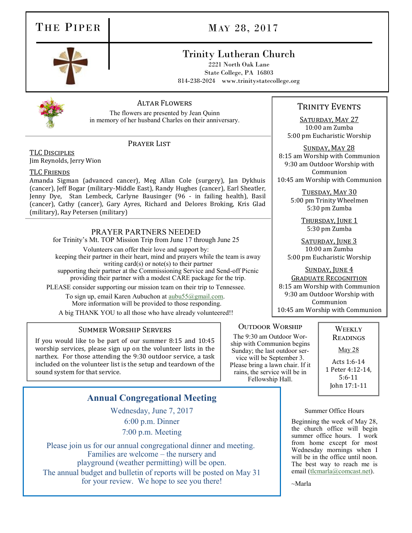## THE PIPER MAY 28, 2017

### Trinity Lutheran Church

2221 North Oak Lane State College, PA 16803 814-238-2024 www.trinitystatecollege.org



#### Altar Flowers

The flowers are presented by Jean Quinn in memory of her husband Charles on their anniversary.

TLC Disciples Jim Reynolds, Jerry Wion

#### TLC Friends

Amanda Sigman (advanced cancer), Meg Allan Cole (surgery), Jan Dykhuis (cancer), Jeff Bogar (military-Middle East), Randy Hughes (cancer), Earl Sheatler, Jenny Dye, Stan Lembeck, Carlyne Bausinger (96 - in failing health), Basil (cancer), Cathy (cancer), Gary Ayres, Richard and Delores Broking, Kris Glad (military), Ray Petersen (military)

PRAYER LIST

#### PRAYER PARTNERS NEEDED

for Trinity's Mt. TOP Mission Trip from June 17 through June 25

Volunteers can offer their love and support by: keeping their partner in their heart, mind and prayers while the team is away writing card $(s)$  or note $(s)$  to their partner supporting their partner at the Commissioning Service and Send-off Picnic providing their partner with a modest CARE package for the trip.

PLEASE consider supporting our mission team on their trip to Tennessee.

To sign up, email Karen Aubuchon at [aubu55@gmail.com.](mailto:aubu55@gmail.com) More information will be provided to those responding. A big THANK YOU to all those who have already volunteered!!

#### Summer Worship Servers

If you would like to be part of our summer 8:15 and 10:45 worship services, please sign up on the volunteer lists in the narthex. For those attending the 9:30 outdoor service, a task included on the volunteer list is the setup and teardown of the sound system for that service.

### **Annual Congregational Meeting**

Wednesday, June 7, 2017 6:00 p.m. Dinner 7:00 p.m. Meeting

Please join us for our annual congregational dinner and meeting. Families are welcome – the nursery and playground (weather permitting) will be open. The annual budget and bulletin of reports will be posted on May 31 for your review. We hope to see you there!

### TRINITY EVENTS

SATURDAY, MAY 27 10:00 am Zumba 5:00 pm Eucharistic Worship

Sunday, May 28 8:15 am Worship with Communion 9:30 am Outdoor Worship with Communion 10:45 am Worship with Communion

> TUESDAY, MAY 30 5:00 pm Trinity Wheelmen 5:30 pm Zumba

> > THURSDAY, JUNE 1 5:30 pm Zumba

SATURDAY, JUNE 3 10:00 am Zumba 5:00 pm Eucharistic Worship

SUNDAY, JUNE 4 Graduate Recognition 8:15 am Worship with Communion 9:30 am Outdoor Worship with Communion 10:45 am Worship with Communion

#### **OUTDOOR WORSHIP**

The 9:30 am Outdoor Worship with Communion begins Sunday; the last outdoor service will be September 3. Please bring a lawn chair. If it rains, the service will be in Fellowship Hall.

**WEEKLY READINGS** 

May 28

Acts 1:6-14 1 Peter 4:12-14, 5:6-11 John 17:1-11

#### Summer Office Hours

Beginning the week of May 28, the church office will begin summer office hours. I work from home except for most Wednesday mornings when I will be in the office until noon. The best way to reach me is email [\(tlcmarla@comcast.net\)](mailto:tlcmarla@comcast.net).

 $\sim$ Marla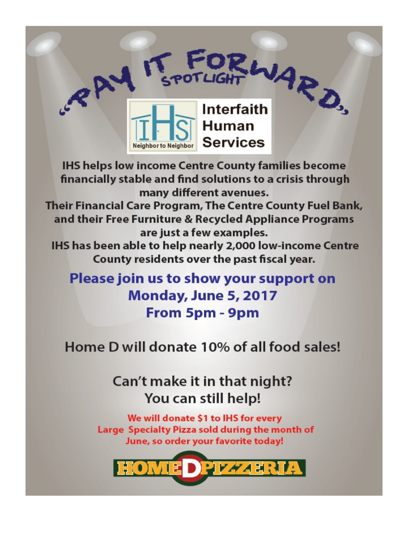

**IHS helps low income Centre County families become** financially stable and find solutions to a crisis through many different avenues.

Their Financial Care Program, The Centre County Fuel Bank, and their Free Furniture & Recycled Appliance Programs are just a few examples.

IHS has been able to help nearly 2,000 low-income Centre County residents over the past fiscal year.

Please join us to show your support on Monday, June 5, 2017 From 5pm - 9pm

Home D will donate 10% of all food sales!

# Can't make it in that night? You can still help!

We will donate \$1 to IHS for every Large Specialty Pizza sold during the month of June, so order your favorite today!